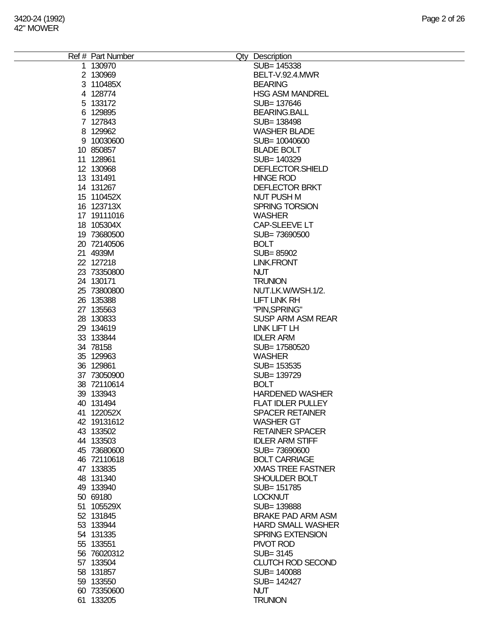| Ref # Part Number | Qty Description          |
|-------------------|--------------------------|
| 1 130970          | SUB= 145338              |
| 2 130969          | BELT-V.92.4.MWR          |
| 3 110485X         | <b>BEARING</b>           |
|                   |                          |
| 4 128774          | <b>HSG ASM MANDREL</b>   |
| 5 133172          | SUB= 137646              |
| 6 129895          | <b>BEARING.BALL</b>      |
| 7 127843          | SUB= 138498              |
| 8 129962          | <b>WASHER BLADE</b>      |
| 9 10030600        | SUB= 10040600            |
|                   |                          |
| 10 850857         | <b>BLADE BOLT</b>        |
| 11 128961         | SUB= 140329              |
| 12 130968         | DEFLECTOR.SHIELD         |
| 13 131491         | <b>HINGE ROD</b>         |
| 14 131267         | <b>DEFLECTOR BRKT</b>    |
| 15 110452X        | <b>NUT PUSH M</b>        |
| 16 123713X        | <b>SPRING TORSION</b>    |
|                   |                          |
| 17 19111016       | <b>WASHER</b>            |
| 18 105304X        | CAP-SLEEVE LT            |
| 19 73680500       | SUB=73690500             |
| 20 72140506       | <b>BOLT</b>              |
| 21 4939M          | SUB=85902                |
| 22 127218         | <b>LINK.FRONT</b>        |
|                   |                          |
| 23 73350800       | <b>NUT</b>               |
| 24 130171         | <b>TRUNION</b>           |
| 25 73800800       | NUT.LK.W/WSH.1/2.        |
| 26 135388         | <b>LIFT LINK RH</b>      |
| 27 135563         | "PIN, SPRING"            |
| 28 130833         | <b>SUSP ARM ASM REAR</b> |
| 29 134619         | <b>LINK LIFT LH</b>      |
| 33 133844         | <b>IDLER ARM</b>         |
| 34 78158          | SUB= 17580520            |
|                   |                          |
| 35 129963         | <b>WASHER</b>            |
| 36 129861         | SUB= 153535              |
| 37 73050900       | SUB= 139729              |
| 38 72110614       | <b>BOLT</b>              |
| 39 133943         | <b>HARDENED WASHER</b>   |
| 40 131494         | <b>FLAT IDLER PULLEY</b> |
| 41 122052X        | <b>SPACER RETAINER</b>   |
| 42 19131612       | <b>WASHER GT</b>         |
| 43 133502         | <b>RETAINER SPACER</b>   |
|                   |                          |
| 44 133503         | <b>IDLER ARM STIFF</b>   |
| 45 73680600       | SUB=73690600             |
| 46 72110618       | <b>BOLT CARRIAGE</b>     |
| 47 133835         | <b>XMAS TREE FASTNER</b> |
| 48 131340         | SHOULDER BOLT            |
| 49 133940         | SUB= 151785              |
| 50 69180          | <b>LOCKNUT</b>           |
| 51 105529X        | SUB=139888               |
|                   | <b>BRAKE PAD ARM ASM</b> |
| 52 131845         |                          |
| 53 133944         | <b>HARD SMALL WASHER</b> |
| 54 131335         | <b>SPRING EXTENSION</b>  |
| 55 133551         | PIVOT ROD                |
| 56 76020312       | SUB= 3145                |
| 57 133504         | <b>CLUTCH ROD SECOND</b> |
| 58 131857         | SUB= 140088              |
| 59 133550         | SUB= 142427              |
| 60 73350600       | <b>NUT</b>               |
|                   |                          |
| 61 133205         | <b>TRUNION</b>           |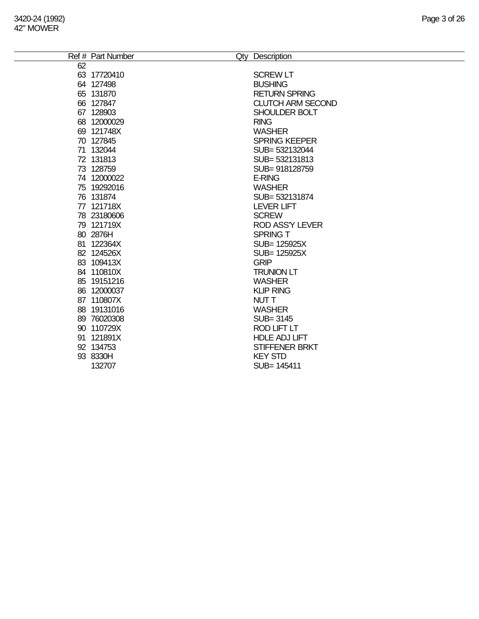|    | Ref # Part Number<br>Qty | Description              |
|----|--------------------------|--------------------------|
| 62 |                          |                          |
| 63 | 17720410                 | <b>SCREW LT</b>          |
| 64 | 127498                   | <b>BUSHING</b>           |
| 65 | 131870                   | <b>RETURN SPRING</b>     |
| 66 | 127847                   | <b>CLUTCH ARM SECOND</b> |
| 67 | 128903                   | SHOULDER BOLT            |
| 68 | 12000029                 | <b>RING</b>              |
| 69 | 121748X                  | <b>WASHER</b>            |
| 70 | 127845                   | <b>SPRING KEEPER</b>     |
|    | 71 132044                | SUB= 532132044           |
|    | 72 131813                | SUB= 532131813           |
| 73 | 128759                   | SUB= 918128759           |
| 74 | 12000022                 | <b>E-RING</b>            |
| 75 | 19292016                 | WASHER                   |
|    | 76 131874                | SUB= 532131874           |
|    | 77 121718X               | <b>LEVER LIFT</b>        |
|    | 78 23180606              | <b>SCREW</b>             |

**SUB= 125925X**<br>GRIP

HDLE ADJ LIFT

121719X ROD ASS'Y LEVER

80 2876H SPRING T

81 122364X SUB= 125925X<br>82 124526X SUB= 125925X

84 110810X TRUNION LT 19151216 WASHER 12000037 KLIP RING 110807X NUT T 19131016 WASHER 76020308 SUB= 3145 90 110729X ROD LIFT LT<br>91 121891X HDLE ADJ LIF

134753 STIFFENER BRKT

SUB= 145411

8330H KEY STD

83 109413X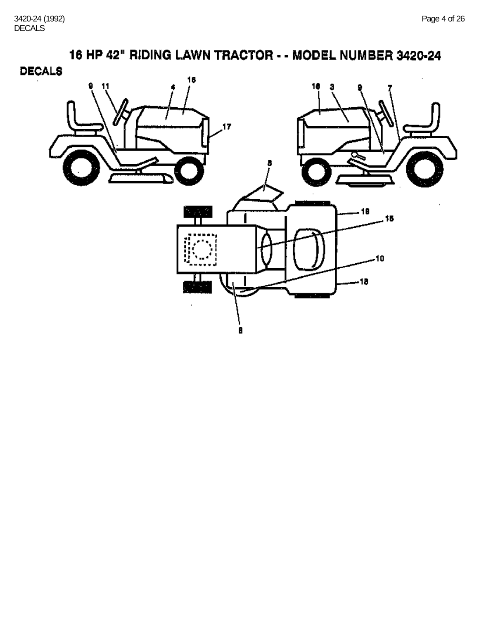16 HP 42" RIDING LAWN TRACTOR - - MODEL NUMBER 3420-24 **DECALS** 16 18 a 17  $\sim$ J. - 18 15 П -10 -18 θ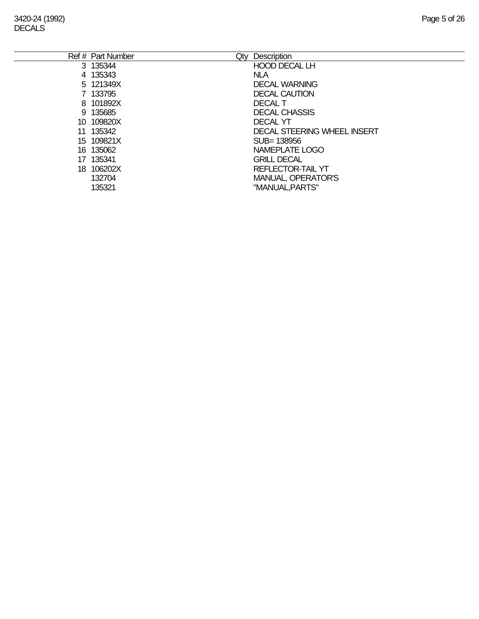|    | Ref # Part Number<br>Qty | Description                 |
|----|--------------------------|-----------------------------|
|    | 3 135344                 | <b>HOOD DECAL LH</b>        |
|    | 4 135343                 | <b>NLA</b>                  |
|    | 5 121349X                | <b>DECAL WARNING</b>        |
|    | 7 133795                 | <b>DECAL CAUTION</b>        |
|    | 8 101892X                | <b>DECAL T</b>              |
|    | 9 135685                 | <b>DECAL CHASSIS</b>        |
|    | 10 109820X               | <b>DECAL YT</b>             |
|    | 11 135342                | DECAL STEERING WHEEL INSERT |
|    | 15 109821X               | SUB=138956                  |
|    | 16 135062                | NAMEPLATE LOGO              |
| 17 | 135341                   | <b>GRILL DECAL</b>          |
|    | 18 106202X               | <b>REFLECTOR-TAIL YT</b>    |
|    | 132704                   | <b>MANUAL, OPERATOR'S</b>   |
|    | 135321                   | "MANUAL, PARTS"             |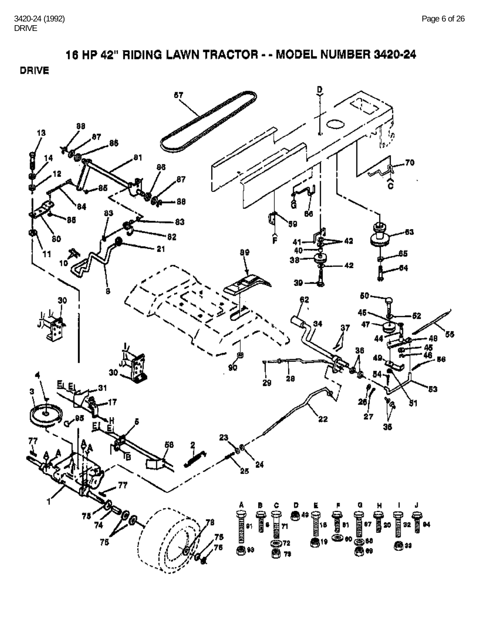16 HP 42" RIDING LAWN TRACTOR - - MODEL NUMBER 3420-24

**DRIVE** 

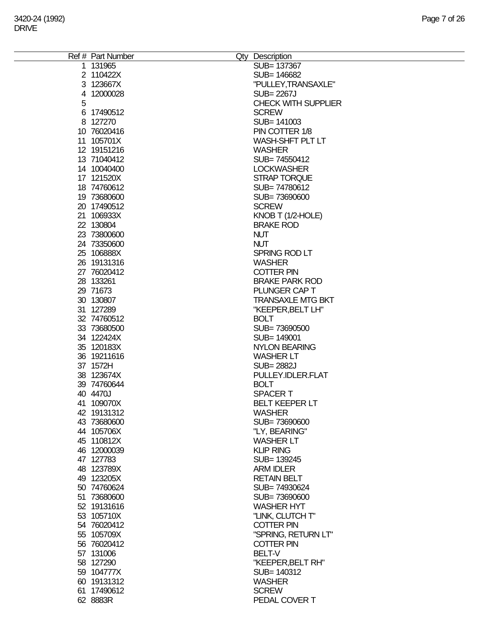|   | Ref # Part Number | Qty Description            |
|---|-------------------|----------------------------|
|   | 1 131965          | SUB= 137367                |
|   | 2 110422X         | SUB= 146682                |
|   | 3 123667X         | "PULLEY, TRANSAXLE"        |
|   | 4 12000028        | <b>SUB=2267J</b>           |
|   |                   |                            |
| 5 |                   | <b>CHECK WITH SUPPLIER</b> |
|   | 6 17490512        | <b>SCREW</b>               |
|   | 8 127270          | SUB= 141003                |
|   | 10 76020416       | PIN COTTER 1/8             |
|   | 11 105701X        | WASH-SHFT PLT LT           |
|   | 12 19151216       | <b>WASHER</b>              |
|   |                   |                            |
|   | 13 71040412       | SUB=74550412               |
|   | 14 10040400       | <b>LOCKWASHER</b>          |
|   | 17 121520X        | STRAP TORQUE               |
|   | 18 74760612       | SUB=74780612               |
|   | 19 73680600       | SUB=73690600               |
|   | 20 17490512       | <b>SCREW</b>               |
|   | 21 106933X        |                            |
|   |                   | KNOB T (1/2-HOLE)          |
|   | 22 130804         | <b>BRAKE ROD</b>           |
|   | 23 73800600       | <b>NUT</b>                 |
|   | 24 73350600       | <b>NUT</b>                 |
|   | 25 106888X        | SPRING ROD LT              |
|   | 26 19131316       | <b>WASHER</b>              |
|   | 27 76020412       | <b>COTTER PIN</b>          |
|   | 28 133261         | <b>BRAKE PARK ROD</b>      |
|   |                   |                            |
|   | 29 71673          | PLUNGER CAP T              |
|   | 30 130807         | <b>TRANSAXLE MTG BKT</b>   |
|   | 31 127289         | "KEEPER, BELT LH"          |
|   | 32 74760512       | <b>BOLT</b>                |
|   | 33 73680500       | SUB=73690500               |
|   | 34 122424X        | SUB= 149001                |
|   | 35 120183X        | <b>NYLON BEARING</b>       |
|   | 36 19211616       | <b>WASHER LT</b>           |
|   |                   |                            |
|   | 37 1572H          | <b>SUB=2882J</b>           |
|   | 38 123674X        | PULLEY.IDLER.FLAT          |
|   | 39 74760644       | <b>BOLT</b>                |
|   | 40 4470J          | <b>SPACERT</b>             |
|   | 41 109070X        | <b>BELT KEEPER LT</b>      |
|   | 42 19131312       | <b>WASHER</b>              |
|   | 43 73680600       | SUB=73690600               |
|   | 44 105706X        | "LY, BEARING"              |
|   | 45 110812X        | <b>WASHER LT</b>           |
|   |                   |                            |
|   | 46 12000039       | <b>KLIP RING</b>           |
|   | 47 127783         | SUB= 139245                |
|   | 48 123789X        | <b>ARM IDLER</b>           |
|   | 49 123205X        | <b>RETAIN BELT</b>         |
|   | 50 74760624       | SUB=74930624               |
|   | 51 73680600       | SUB=73690600               |
|   | 52 19131616       | <b>WASHER HYT</b>          |
|   | 53 105710X        | "LINK, CLUTCH T"           |
|   | 54 76020412       | <b>COTTER PIN</b>          |
|   |                   |                            |
|   | 55 105709X        | "SPRING, RETURN LT"        |
|   | 56 76020412       | <b>COTTER PIN</b>          |
|   | 57 131006         | <b>BELT-V</b>              |
|   | 58 127290         | "KEEPER, BELT RH"          |
|   | 59 104777X        | SUB= 140312                |
|   | 60 19131312       | <b>WASHER</b>              |
|   | 61 17490612       | <b>SCREW</b>               |
|   |                   |                            |
|   | 62 8883R          | PEDAL COVER T              |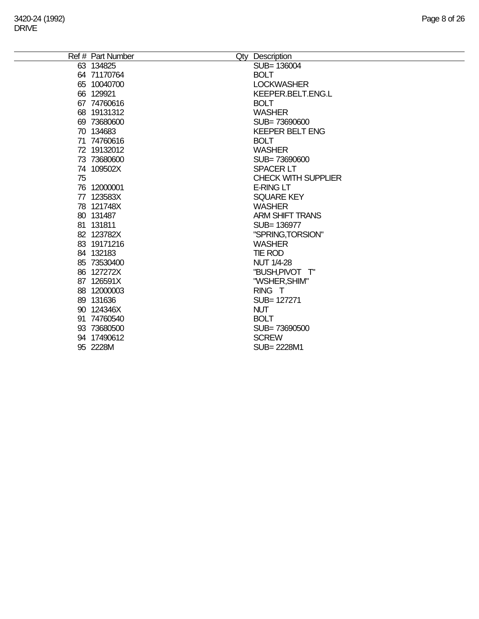|    | Ref # Part Number | Qty Description            |
|----|-------------------|----------------------------|
|    | 63 134825         | SUB= 136004                |
|    | 64 71170764       | <b>BOLT</b>                |
|    | 65 10040700       | <b>LOCKWASHER</b>          |
|    | 66 129921         | KEEPER.BELT.ENG.L          |
|    | 67 74760616       | <b>BOLT</b>                |
|    | 68 19131312       | <b>WASHER</b>              |
|    | 69 73680600       | SUB=73690600               |
|    | 70 134683         | <b>KEEPER BELT ENG</b>     |
|    | 71 74760616       | <b>BOLT</b>                |
|    | 72 19132012       | <b>WASHER</b>              |
|    | 73 73680600       | SUB=73690600               |
|    | 74 109502X        | <b>SPACER LT</b>           |
| 75 |                   | <b>CHECK WITH SUPPLIER</b> |
|    | 76 12000001       | <b>E-RING LT</b>           |
|    | 77 123583X        | <b>SQUARE KEY</b>          |
|    | 78 121748X        | <b>WASHER</b>              |
|    | 80 131487         | <b>ARM SHIFT TRANS</b>     |
|    | 81 131811         | SUB= 136977                |
|    | 82 123782X        | "SPRING, TORSION"          |
|    | 83 19171216       | <b>WASHER</b>              |
|    | 84 132183         | TIE ROD                    |
|    | 85 73530400       | <b>NUT 1/4-28</b>          |
|    | 86 127272X        | "BUSH, PIVOT T"            |
|    | 87 126591X        | "WSHER, SHIM"              |
|    | 88 12000003       | RING T                     |
|    | 89 131636         | SUB= 127271                |
|    | 90 124346X        | <b>NUT</b>                 |
|    | 91 74760540       | <b>BOLT</b>                |
|    | 93 73680500       | SUB=73690500               |
|    | 94 17490612       | <b>SCREW</b>               |
|    | 95 2228M          | SUB= 2228M1                |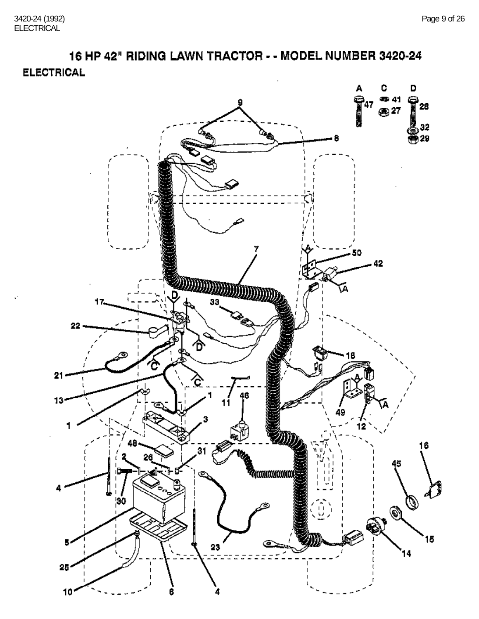16 HP 42" RIDING LAWN TRACTOR - - MODEL NUMBER 3420-24 **ELECTRICAL** 

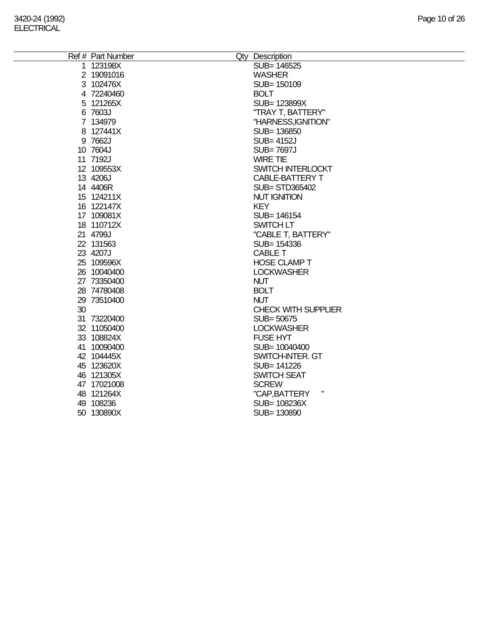|    | Ref # Part Number | Qty Description            |
|----|-------------------|----------------------------|
|    | 1 123198X         | SUB= 146525                |
|    | 2 19091016        | <b>WASHER</b>              |
|    | 3 102476X         | SUB= 150109                |
|    | 4 72240460        | <b>BOLT</b>                |
|    | 5 121265X         | SUB= 123899X               |
|    | 6 7603J           | "TRAY T, BATTERY"          |
|    | 7 134979          | "HARNESS, IGNITION"        |
|    | 8 127441X         | SUB= 136850                |
|    | 9 7662J           | <b>SUB=4152J</b>           |
|    | 10 7604J          | <b>SUB=7697J</b>           |
|    | 11 7192J          | <b>WIRE TIE</b>            |
|    | 12 109553X        | SWITCH INTERLOCKT          |
|    | 13 4206J          | <b>CABLE-BATTERY T</b>     |
|    | 14 4406R          | <b>SUB= STD365402</b>      |
|    | 15 124211X        | <b>NUT IGNITION</b>        |
|    | 16 122147X        | <b>KEY</b>                 |
|    | 17 109081X        | SUB= 146154                |
|    | 18 110712X        | SWITCH LT                  |
|    | 21 4799J          | "CABLE T, BATTERY"         |
|    | 22 131563         | SUB= 154336                |
|    | 23 4207J          | <b>CABLE T</b>             |
|    | 25 109596X        | <b>HOSE CLAMP T</b>        |
|    | 26 10040400       | <b>LOCKWASHER</b>          |
|    | 27 73350400       | <b>NUT</b>                 |
|    | 28 74780408       | <b>BOLT</b>                |
|    | 29 73510400       | <b>NUT</b>                 |
| 30 |                   | <b>CHECK WITH SUPPLIER</b> |
|    | 31 73220400       | SUB=50675                  |
|    | 32 11050400       | <b>LOCKWASHER</b>          |
|    | 33 108824X        | <b>FUSE HYT</b>            |
|    | 41 10090400       | SUB= 10040400              |
|    | 42 104445X        | SWITCH-INTER. GT           |
|    | 45 123620X        | SUB= 141226                |
|    | 46 121305X        | <b>SWITCH SEAT</b>         |
|    | 47 17021008       | <b>SCREW</b>               |
|    | 48 121264X        | Ш<br>"CAP, BATTERY         |
|    | 49 108236         | SUB= 108236X               |
|    | 50 130890X        | SUB= 130890                |
|    |                   |                            |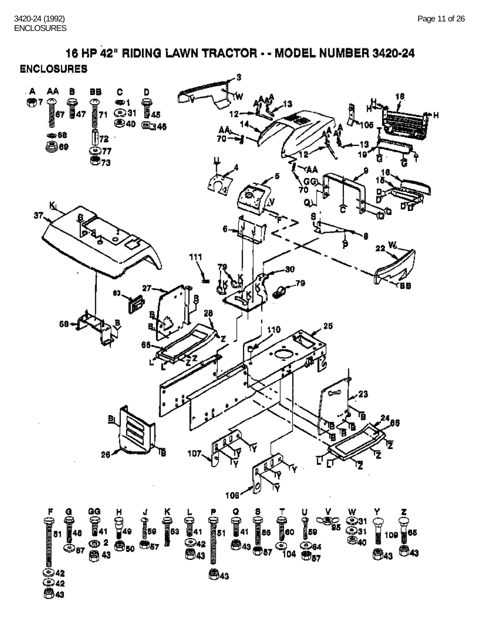16 HP 42" RIDING LAWN TRACTOR - - MODEL NUMBER 3420-24 **ENCLOSURES** 

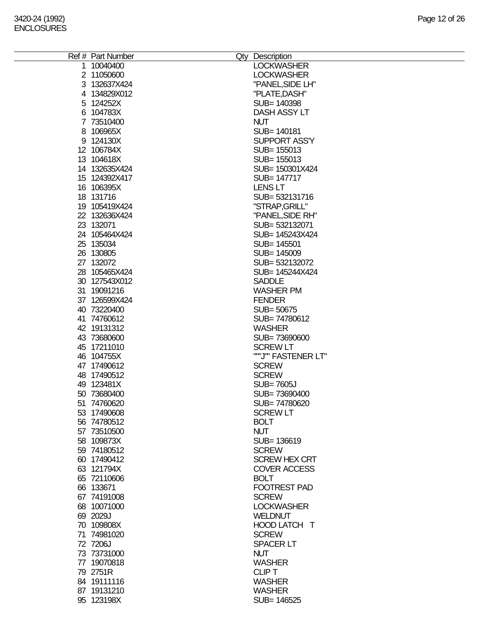| Ref # Part Number | Qty Description      |
|-------------------|----------------------|
| 1 10040400        | <b>LOCKWASHER</b>    |
| 2 11050600        | <b>LOCKWASHER</b>    |
| 3 132637X424      | "PANEL, SIDE LH"     |
|                   |                      |
| 4 134829X012      | "PLATE, DASH"        |
| 5 124252X         | SUB= 140398          |
| 6 104783X         | DASH ASSY LT         |
| 7 73510400        | <b>NUT</b>           |
| 8 106965X         | SUB= 140181          |
|                   |                      |
| 9 124130X         | <b>SUPPORT ASS'Y</b> |
| 12 106784X        | SUB= 155013          |
| 13 104618X        | SUB= 155013          |
| 14 132635X424     | SUB= 150301X424      |
| 15 124392X417     | SUB= 147717          |
|                   |                      |
| 16 106395X        | <b>LENS LT</b>       |
| 18 131716         | SUB=532131716        |
| 19 105419X424     | "STRAP, GRILL"       |
| 22 132636X424     | "PANEL, SIDE RH"     |
| 23 132071         | SUB= 532132071       |
|                   |                      |
| 24 105464X424     | SUB= 145243X424      |
| 25 135034         | SUB= 145501          |
| 26 130805         | SUB= 145009          |
| 27 132072         | SUB=532132072        |
| 28 105465X424     | SUB= 145244X424      |
| 30 127543X012     | <b>SADDLE</b>        |
|                   |                      |
| 31 19091216       | <b>WASHER PM</b>     |
| 37 126599X424     | <b>FENDER</b>        |
| 40 73220400       | SUB= 50675           |
| 41 74760612       | SUB=74780612         |
| 42 19131312       | <b>WASHER</b>        |
|                   |                      |
| 43 73680600       | SUB=73690600         |
| 45 17211010       | <b>SCREW LT</b>      |
| 46 104755X        | ""J"" FASTENER LT"   |
| 47 17490612       | <b>SCREW</b>         |
| 48 17490512       | <b>SCREW</b>         |
| 49 123481X        | <b>SUB=7605J</b>     |
|                   |                      |
| 50 73680400       | SUB=73690400         |
| 51 74760620       | SUB=74780620         |
| 53 17490608       | <b>SCREW LT</b>      |
| 56 74780512       | <b>BOLT</b>          |
| 57 73510500       | <b>NUT</b>           |
|                   |                      |
| 58 109873X        | SUB=136619           |
| 59 74180512       | <b>SCREW</b>         |
| 60 17490412       | <b>SCREW HEX CRT</b> |
| 63 121794X        | <b>COVER ACCESS</b>  |
| 65 72110606       | <b>BOLT</b>          |
| 66 133671         | <b>FOOTREST PAD</b>  |
|                   |                      |
| 67 74191008       | <b>SCREW</b>         |
| 68 10071000       | <b>LOCKWASHER</b>    |
| 69 2029J          | <b>WELDNUT</b>       |
| 70 109808X        | HOOD LATCH T         |
| 71 74981020       | <b>SCREW</b>         |
|                   |                      |
| 72 7206J          | <b>SPACER LT</b>     |
| 73 73731000       | <b>NUT</b>           |
| 77 19070818       | <b>WASHER</b>        |
| 79 2751R          | <b>CLIPT</b>         |
| 84 19111116       | <b>WASHER</b>        |
| 87 19131210       | <b>WASHER</b>        |
|                   |                      |
| 95 123198X        | SUB= 146525          |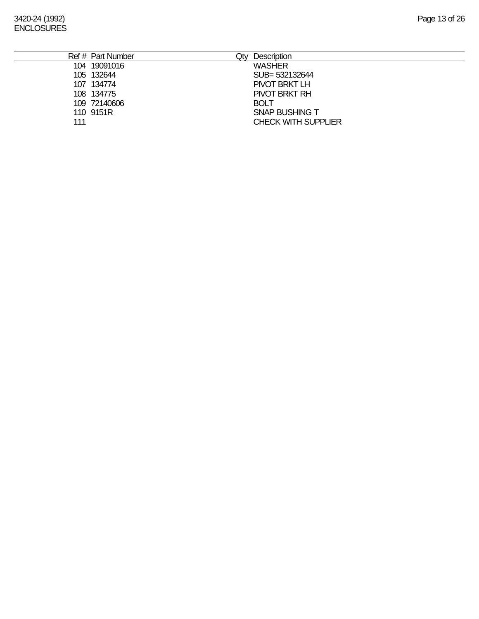- 109 72140606 BOLT<br>110 9151R SNAP
- 

108 134775 PIVOT BRKT RH SNAP BUSHING T 111 CHECK WITH SUPPLIER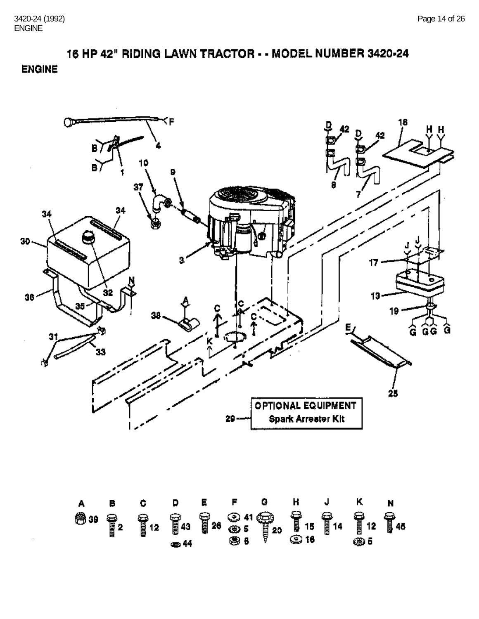## 16 HP 42" RIDING LAWN TRACTOR - - MODEL NUMBER 3420-24 **ENGINE**

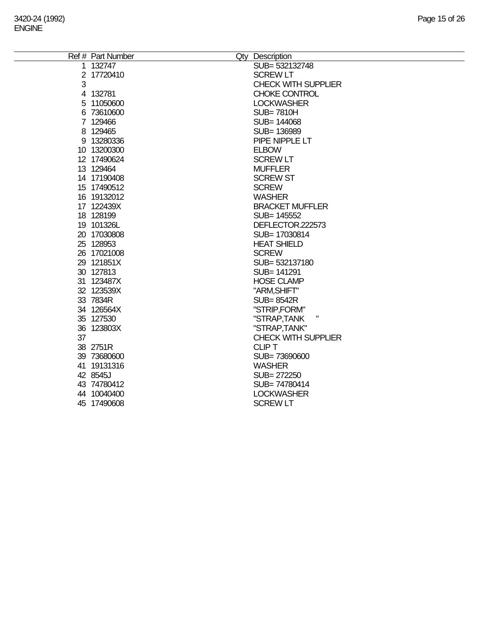|    | Ref # Part Number | Qty Description            |
|----|-------------------|----------------------------|
|    | 1 132747          | SUB= 532132748             |
|    | 2 17720410        | <b>SCREW LT</b>            |
| 3  |                   | <b>CHECK WITH SUPPLIER</b> |
|    | 4 132781          | <b>CHOKE CONTROL</b>       |
|    | 5 11050600        | <b>LOCKWASHER</b>          |
|    | 6 73610600        | <b>SUB=7810H</b>           |
|    | 7 129466          | SUB= 144068                |
|    | 8 129465          | SUB=136989                 |
|    | 9 13280336        | PIPE NIPPLE LT             |
|    | 10 13200300       | <b>ELBOW</b>               |
|    | 12 17490624       | <b>SCREW LT</b>            |
|    | 13 129464         | <b>MUFFLER</b>             |
|    | 14 17190408       | <b>SCREW ST</b>            |
|    | 15 17490512       | <b>SCREW</b>               |
|    | 16 19132012       | <b>WASHER</b>              |
|    | 17 122439X        | <b>BRACKET MUFFLER</b>     |
|    | 18 128199         | SUB= 145552                |
|    | 19 101326L        | DEFLECTOR.222573           |
|    | 20 17030808       | SUB= 17030814              |
|    | 25 128953         | <b>HEAT SHIELD</b>         |
|    | 26 17021008       | <b>SCREW</b>               |
|    | 29 121851X        | SUB= 532137180             |
|    | 30 127813         | SUB= 141291                |
|    | 31 123487X        | <b>HOSE CLAMP</b>          |
|    | 32 123539X        | "ARM, SHIFT"               |
|    | 33 7834R          | <b>SUB=8542R</b>           |
|    | 34 126564X        | "STRIP,FORM"               |
|    | 35 127530         | Ш<br>"STRAP,TANK           |
|    | 36 123803X        | "STRAP, TANK"              |
| 37 |                   | <b>CHECK WITH SUPPLIER</b> |
|    | 38 2751R          | <b>CLIPT</b>               |
|    | 39 73680600       | SUB=73690600               |
|    | 41 19131316       | <b>WASHER</b>              |
|    | 42 8545J          | SUB= 272250                |
|    | 43 74780412       | SUB=74780414               |
|    | 44 10040400       | <b>LOCKWASHER</b>          |
|    | 45 17490608       | <b>SCREW LT</b>            |
|    |                   |                            |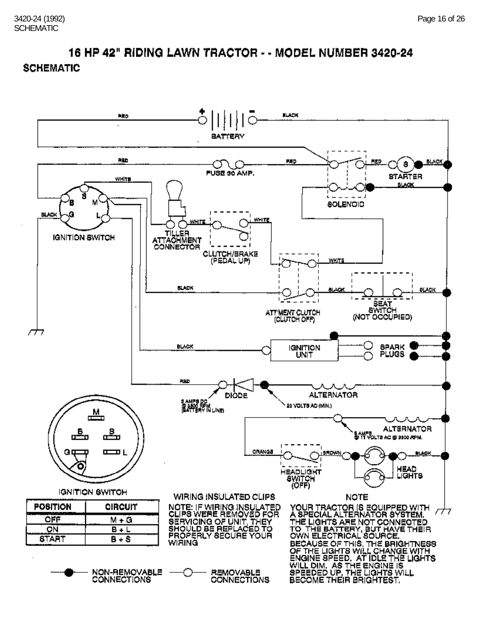## 16 HP 42" RIDING LAWN TRACTOR - - MODEL NUMBER 3420-24 **SCHEMATIC**

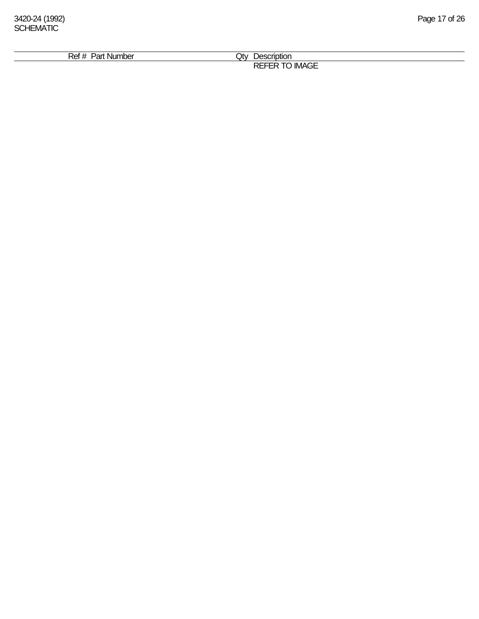| Ref<br>. Number<br>Par<br><u>n</u> | Jtv.<br>Jescription                                                    |  |
|------------------------------------|------------------------------------------------------------------------|--|
|                                    | <b>REFE</b><br>--<br>$\cdots$<br>-- -<br><b>IMAGE</b><br>-<br>---<br>∼ |  |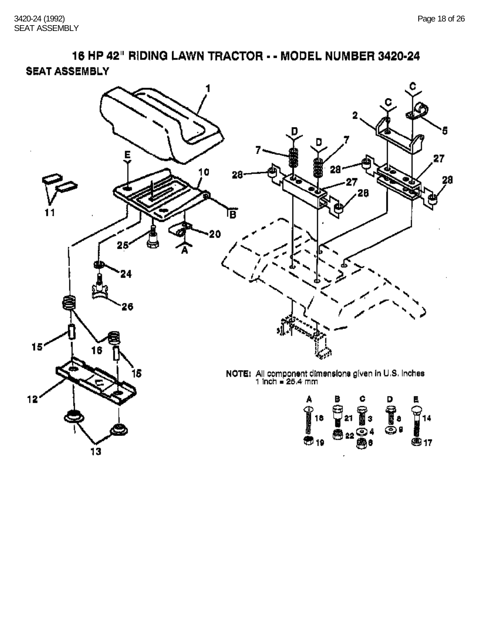16 HP 42" RIDING LAWN TRACTOR - - MODEL NUMBER 3420-24 **SEAT ASSEMBLY** 

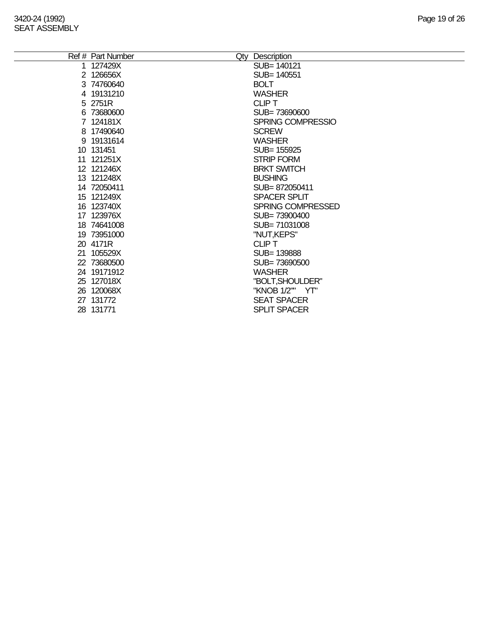|    | Ref # Part Number | Qty Description     |
|----|-------------------|---------------------|
| 1. | 127429X           | SUB= 140121         |
|    | 2 126656X         | SUB= 140551         |
|    | 3 74760640        | <b>BOLT</b>         |
|    | 4 19131210        | <b>WASHER</b>       |
|    | 5 2751R           | <b>CLIPT</b>        |
|    | 6 73680600        | SUB=73690600        |
|    | 7 124181X         | SPRING COMPRESSIO   |
|    | 8 17490640        | <b>SCREW</b>        |
|    | 9 19131614        | <b>WASHER</b>       |
|    | 10 131451         | SUB= 155925         |
|    | 11 121251X        | <b>STRIP FORM</b>   |
|    | 12 121246X        | <b>BRKT SWITCH</b>  |
|    | 13 121248X        | <b>BUSHING</b>      |
|    | 14 72050411       | SUB=872050411       |
|    | 15 121249X        | <b>SPACER SPLIT</b> |
|    | 16 123740X        | SPRING COMPRESSED   |
|    | 17 123976X        | SUB=73900400        |
|    | 18 74641008       | SUB=71031008        |
|    | 19 73951000       | "NUT, KEPS"         |
|    | 20 4171R          | CLIP T              |
|    | 21 105529X        | SUB=139888          |
|    | 22 73680500       | SUB=73690500        |
|    | 24 19171912       | <b>WASHER</b>       |
|    | 25 127018X        | "BOLT, SHOULDER"    |
|    | 26 120068X        | "KNOB 1/2"" YT"     |
|    | 27 131772         | <b>SEAT SPACER</b>  |
|    | 28 131771         | <b>SPLIT SPACER</b> |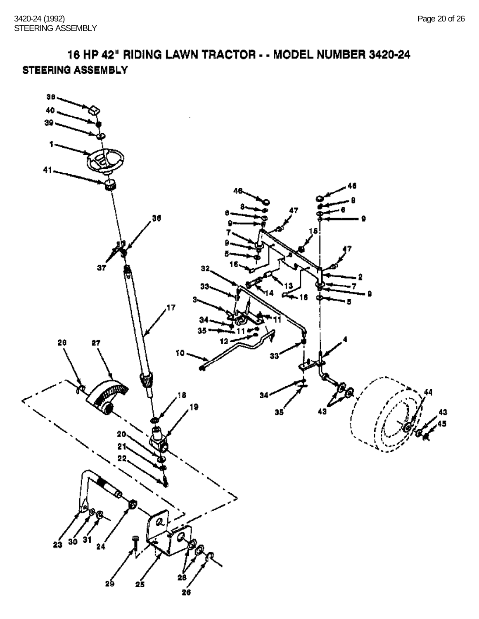16 HP 42" RIDING LAWN TRACTOR - - MODEL NUMBER 3420-24 STEERING ASSEMBLY

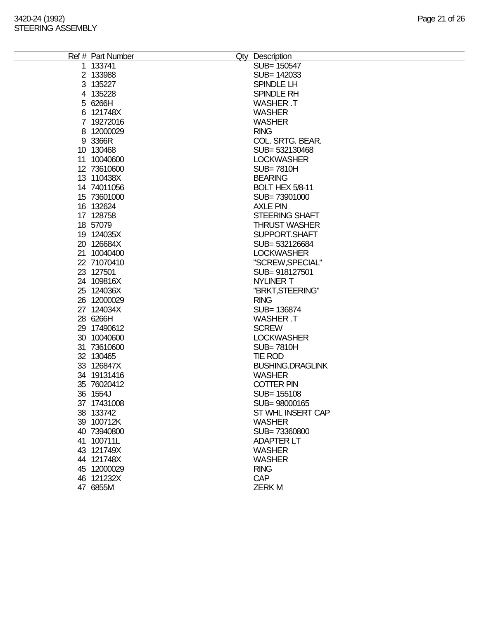| Ref # Part Number | Qty Description         |
|-------------------|-------------------------|
| 1 133741          | SUB= 150547             |
| 2 133988          | SUB= 142033             |
| 3 135227          | SPINDLE LH              |
| 4 135228          | SPINDLE RH              |
| 5 6266H           | <b>WASHER .T</b>        |
| 6 121748X         | <b>WASHER</b>           |
| 7 19272016        | <b>WASHER</b>           |
| 8 12000029        | <b>RING</b>             |
|                   |                         |
| 9 3366R           | COL. SRTG. BEAR.        |
| 10 130468         | SUB= 532130468          |
| 11 10040600       | <b>LOCKWASHER</b>       |
| 12 73610600       | <b>SUB=7810H</b>        |
| 13 110438X        | <b>BEARING</b>          |
| 14 74011056       | <b>BOLT HEX 5/8-11</b>  |
| 15 73601000       | SUB=73901000            |
| 16 132624         | <b>AXLE PIN</b>         |
| 17 128758         | <b>STEERING SHAFT</b>   |
| 18 57079          | <b>THRUST WASHER</b>    |
| 19 124035X        | SUPPORT.SHAFT           |
| 20 126684X        | SUB= 532126684          |
| 21 10040400       | <b>LOCKWASHER</b>       |
| 22 71070410       | "SCREW, SPECIAL"        |
| 23 127501         | SUB= 918127501          |
| 24 109816X        | <b>NYLINER T</b>        |
| 25 124036X        | "BRKT, STEERING"        |
| 26 12000029       | <b>RING</b>             |
| 27 124034X        | SUB= 136874             |
| 28 6266H          | <b>WASHER T</b>         |
| 29 17490612       | <b>SCREW</b>            |
| 30 10040600       | <b>LOCKWASHER</b>       |
|                   |                         |
| 31 73610600       | <b>SUB=7810H</b>        |
| 32 130465         | <b>TIE ROD</b>          |
| 33 126847X        | <b>BUSHING.DRAGLINK</b> |
| 34 19131416       | <b>WASHER</b>           |
| 35 76020412       | <b>COTTER PIN</b>       |
| 36 1554J          | SUB= 155108             |
| 37 17431008       | SUB=98000165            |
| 38 133742         | ST WHL INSERT CAP       |
| 39 100712K        | <b>WASHER</b>           |
| 40 73940800       | SUB=73360800            |
| 41 100711L        | <b>ADAPTER LT</b>       |
| 43 121749X        | <b>WASHER</b>           |
| 44 121748X        | <b>WASHER</b>           |
| 45 12000029       | <b>RING</b>             |
| 46 121232X        | <b>CAP</b>              |
| 47 6855M          | <b>ZERKM</b>            |
|                   |                         |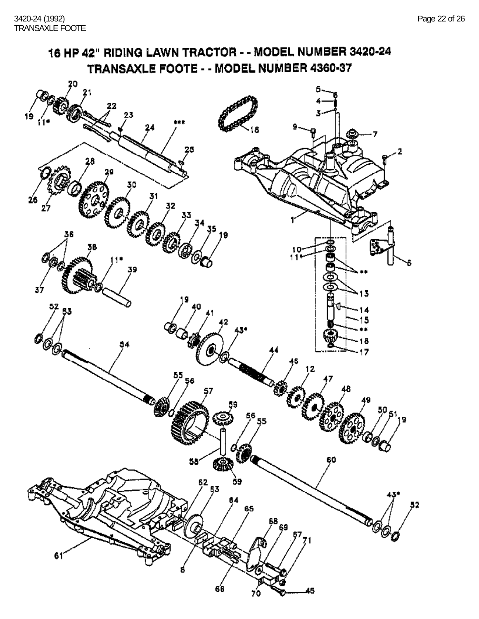#### 16 HP 42" RIDING LAWN TRACTOR - - MODEL NUMBER 3420-24 TRANSAXLE FOOTE - - MODEL NUMBER 4360-37 ۹Ś នេ R ъ  $\mathscr{A}_{\mathscr{O}_\mathscr{O}}$ ś 55<br>/ 56 l g  $\int_{0}^{50}$ 51<sub>19</sub> ó, C 癞  $5^{2}$  53  $\mathbf{59}$ Ś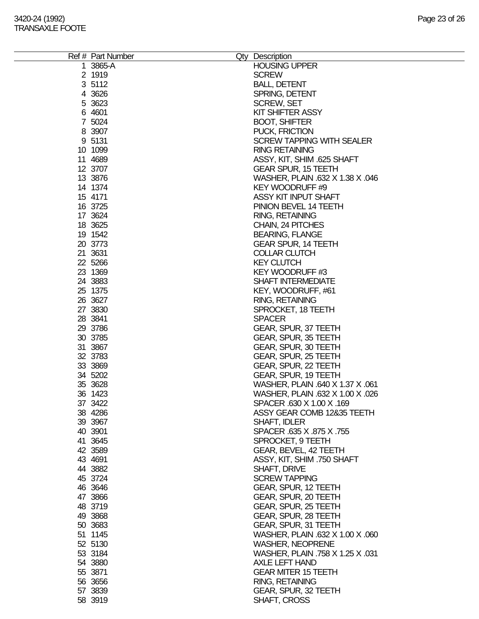### 3420-24 (1992) Page 23 of 26 TRANSAXLE FOOTE

| Ref # Part Number | Qty Description                  |
|-------------------|----------------------------------|
| 1 3865-A          | <b>HOUSING UPPER</b>             |
| 2 1919            | <b>SCREW</b>                     |
| 3 5112            | <b>BALL, DETENT</b>              |
| 4 3 6 2 6         | SPRING, DETENT                   |
| 5 3623            | <b>SCREW, SET</b>                |
| 6 4601            | KIT SHIFTER ASSY                 |
|                   |                                  |
| 7 5024            | <b>BOOT, SHIFTER</b>             |
| 8 3907            | PUCK, FRICTION                   |
| 9 5131            | <b>SCREW TAPPING WITH SEALER</b> |
| 10 1099           | <b>RING RETAINING</b>            |
| 11 4689           | ASSY, KIT, SHIM .625 SHAFT       |
| 12 3707           | <b>GEAR SPUR, 15 TEETH</b>       |
|                   |                                  |
| 13 3876           | WASHER, PLAIN .632 X 1.38 X .046 |
| 14 1374           | KEY WOODRUFF #9                  |
| 15 4171           | ASSY KIT INPUT SHAFT             |
| 16 3725           | PINION BEVEL 14 TEETH            |
| 17 3624           | <b>RING, RETAINING</b>           |
| 18 3625           | CHAIN, 24 PITCHES                |
| 19 1542           | <b>BEARING, FLANGE</b>           |
|                   |                                  |
| 20 3773           | <b>GEAR SPUR, 14 TEETH</b>       |
| 21 3631           | <b>COLLAR CLUTCH</b>             |
| 22 5266           | <b>KEY CLUTCH</b>                |
| 23 1369           | KEY WOODRUFF #3                  |
| 24 3883           | <b>SHAFT INTERMEDIATE</b>        |
| 25 1375           | KEY, WOODRUFF, #61               |
| 26 3627           | <b>RING, RETAINING</b>           |
|                   |                                  |
| 27 3830           | SPROCKET, 18 TEETH               |
| 28 3841           | <b>SPACER</b>                    |
| 29 3786           | GEAR, SPUR, 37 TEETH             |
| 30 3785           | GEAR, SPUR, 35 TEETH             |
| 31 3867           | GEAR, SPUR, 30 TEETH             |
| 32 3783           | GEAR, SPUR, 25 TEETH             |
| 33 3869           | GEAR, SPUR, 22 TEETH             |
| 34 5202           | GEAR, SPUR, 19 TEETH             |
| 35 3628           | WASHER, PLAIN .640 X 1.37 X .061 |
|                   |                                  |
| 36 1423           | WASHER, PLAIN .632 X 1.00 X .026 |
| 37 3422           | SPACER .630 X 1.00 X .169        |
| 38 4286           | ASSY GEAR COMB 12835 TEETH       |
| 39 39 67          | SHAFT, IDLER                     |
| 40 3901           | SPACER .635 X .875 X .755        |
| 41 3645           | SPROCKET, 9 TEETH                |
| 42 3589           | GEAR, BEVEL, 42 TEETH            |
| 43 4691           | ASSY, KIT, SHIM .750 SHAFT       |
| 44 3882           | SHAFT, DRIVE                     |
| 45 3724           | <b>SCREW TAPPING</b>             |
|                   |                                  |
| 46 3646           | GEAR, SPUR, 12 TEETH             |
| 47 3866           | GEAR, SPUR, 20 TEETH             |
| 48 3719           | GEAR, SPUR, 25 TEETH             |
| 49 3868           | GEAR, SPUR, 28 TEETH             |
| 50 3683           | GEAR, SPUR, 31 TEETH             |
| 51 1145           | WASHER, PLAIN .632 X 1.00 X .060 |
| 52 5130           | <b>WASHER, NEOPRENE</b>          |
| 53 3184           | WASHER, PLAIN .758 X 1.25 X .031 |
| 54 3880           | AXLE LEFT HAND                   |
|                   |                                  |
| 55 3871           | <b>GEAR MITER 15 TEETH</b>       |
| 56 3656           | <b>RING, RETAINING</b>           |
| 57 3839           | GEAR, SPUR, 32 TEETH             |
| 58 3919           | SHAFT, CROSS                     |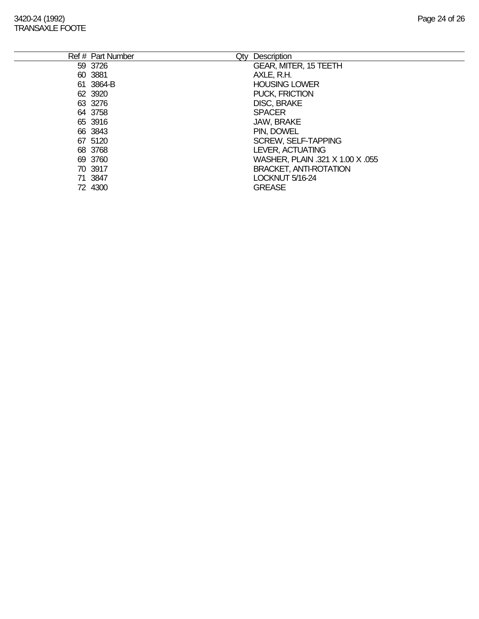### 3420-24 (1992) Page 24 of 26 TRANSAXLE FOOTE

| Ref # Part Number | Qty Description                  |
|-------------------|----------------------------------|
| 59 3726           | <b>GEAR, MITER, 15 TEETH</b>     |
| 60 3881           | AXLE, R.H.                       |
| 61 3864-B         | <b>HOUSING LOWER</b>             |
| 62 3920           | PUCK, FRICTION                   |
| 63 3276           | <b>DISC, BRAKE</b>               |
| 64 3758           | <b>SPACER</b>                    |
| 65 3916           | JAW, BRAKE                       |
| 66 3843           | PIN, DOWEL                       |
| 67 5120           | <b>SCREW, SELF-TAPPING</b>       |
| 68 3768           | LEVER, ACTUATING                 |
| 69 3760           | WASHER, PLAIN .321 X 1.00 X .055 |
| 70 3917           | <b>BRACKET, ANTI-ROTATION</b>    |
| 71 3847           | LOCKNUT 5/16-24                  |
| 72 4300           | <b>GREASE</b>                    |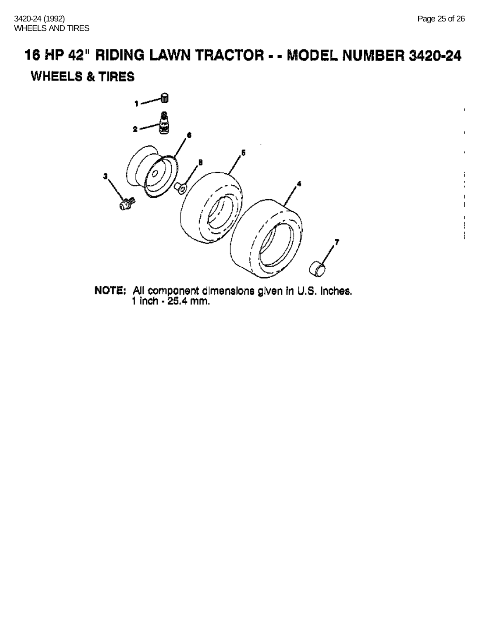$\mathbf{I}$ 

# 16 HP 42" RIDING LAWN TRACTOR - - MODEL NUMBER 3420-24 **WHEELS & TIRES**



NOTE: All component dimensions given in U.S. Inches.<br>1 inch - 25.4 mm.